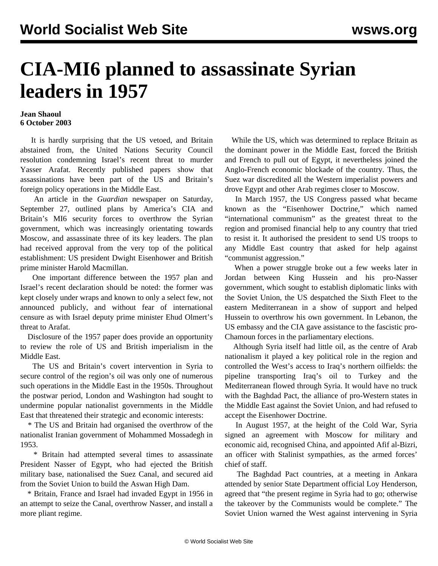## **CIA-MI6 planned to assassinate Syrian leaders in 1957**

## **Jean Shaoul 6 October 2003**

 It is hardly surprising that the US vetoed, and Britain abstained from, the United Nations Security Council resolution condemning Israel's recent threat to murder Yasser Arafat. Recently published papers show that assassinations have been part of the US and Britain's foreign policy operations in the Middle East.

 An article in the *Guardian* newspaper on Saturday, September 27, outlined plans by America's CIA and Britain's MI6 security forces to overthrow the Syrian government, which was increasingly orientating towards Moscow, and assassinate three of its key leaders. The plan had received approval from the very top of the political establishment: US president Dwight Eisenhower and British prime minister Harold Macmillan.

 One important difference between the 1957 plan and Israel's recent declaration should be noted: the former was kept closely under wraps and known to only a select few, not announced publicly, and without fear of international censure as with Israel deputy prime minister Ehud Olmert's threat to Arafat.

 Disclosure of the 1957 paper does provide an opportunity to review the role of US and British imperialism in the Middle East.

 The US and Britain's covert intervention in Syria to secure control of the region's oil was only one of numerous such operations in the Middle East in the 1950s. Throughout the postwar period, London and Washington had sought to undermine popular nationalist governments in the Middle East that threatened their strategic and economic interests:

 \* The US and Britain had organised the overthrow of the nationalist Iranian government of Mohammed Mossadegh in 1953.

 \* Britain had attempted several times to assassinate President Nasser of Egypt, who had ejected the British military base, nationalised the Suez Canal, and secured aid from the Soviet Union to build the Aswan High Dam.

 \* Britain, France and Israel had invaded Egypt in 1956 in an attempt to seize the Canal, overthrow Nasser, and install a more pliant regime.

 While the US, which was determined to replace Britain as the dominant power in the Middle East, forced the British and French to pull out of Egypt, it nevertheless joined the Anglo-French economic blockade of the country. Thus, the Suez war discredited all the Western imperialist powers and drove Egypt and other Arab regimes closer to Moscow.

 In March 1957, the US Congress passed what became known as the "Eisenhower Doctrine," which named "international communism" as the greatest threat to the region and promised financial help to any country that tried to resist it. It authorised the president to send US troops to any Middle East country that asked for help against "communist aggression."

 When a power struggle broke out a few weeks later in Jordan between King Hussein and his pro-Nasser government, which sought to establish diplomatic links with the Soviet Union, the US despatched the Sixth Fleet to the eastern Mediterranean in a show of support and helped Hussein to overthrow his own government. In Lebanon, the US embassy and the CIA gave assistance to the fascistic pro-Chamoun forces in the parliamentary elections.

 Although Syria itself had little oil, as the centre of Arab nationalism it played a key political role in the region and controlled the West's access to Iraq's northern oilfields: the pipeline transporting Iraq's oil to Turkey and the Mediterranean flowed through Syria. It would have no truck with the Baghdad Pact, the alliance of pro-Western states in the Middle East against the Soviet Union, and had refused to accept the Eisenhower Doctrine.

 In August 1957, at the height of the Cold War, Syria signed an agreement with Moscow for military and economic aid, recognised China, and appointed Afif al-Bizri, an officer with Stalinist sympathies, as the armed forces' chief of staff.

 The Baghdad Pact countries, at a meeting in Ankara attended by senior State Department official Loy Henderson, agreed that "the present regime in Syria had to go; otherwise the takeover by the Communists would be complete." The Soviet Union warned the West against intervening in Syria